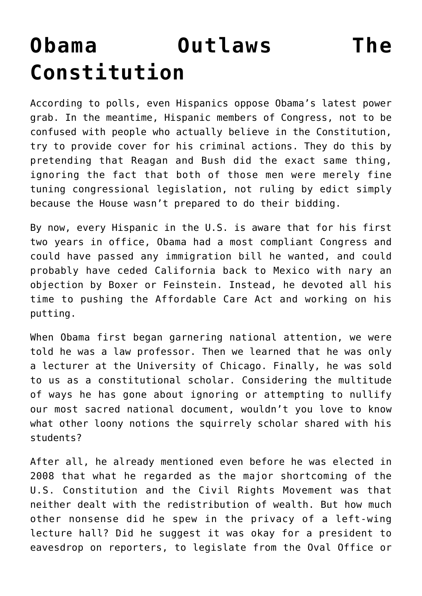## **[Obama Outlaws The](https://bernardgoldberg.com/template-89/) [Constitution](https://bernardgoldberg.com/template-89/)**

According to polls, even Hispanics oppose Obama's latest power grab. In the meantime, Hispanic members of Congress, not to be confused with people who actually believe in the Constitution, try to provide cover for his criminal actions. They do this by pretending that Reagan and Bush did the exact same thing, ignoring the fact that both of those men were merely fine tuning congressional legislation, not ruling by edict simply because the House wasn't prepared to do their bidding.

By now, every Hispanic in the U.S. is aware that for his first two years in office, Obama had a most compliant Congress and could have passed any immigration bill he wanted, and could probably have ceded California back to Mexico with nary an objection by Boxer or Feinstein. Instead, he devoted all his time to pushing the Affordable Care Act and working on his putting.

When Obama first began garnering national attention, we were told he was a law professor. Then we learned that he was only a lecturer at the University of Chicago. Finally, he was sold to us as a constitutional scholar. Considering the multitude of ways he has gone about ignoring or attempting to nullify our most sacred national document, wouldn't you love to know what other loony notions the squirrely scholar shared with his students?

After all, he already mentioned even before he was elected in 2008 that what he regarded as the major shortcoming of the U.S. Constitution and the Civil Rights Movement was that neither dealt with the redistribution of wealth. But how much other nonsense did he spew in the privacy of a left-wing lecture hall? Did he suggest it was okay for a president to eavesdrop on reporters, to legislate from the Oval Office or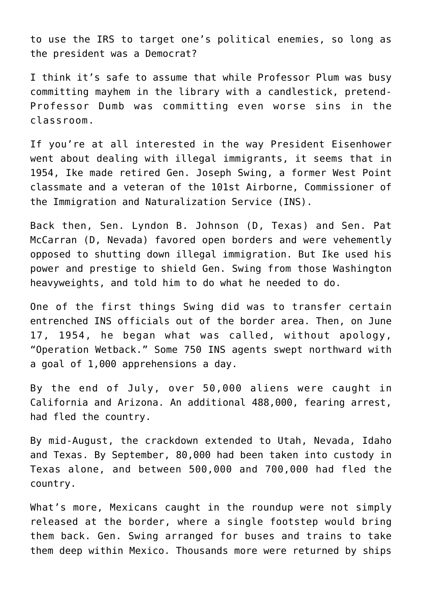to use the IRS to target one's political enemies, so long as the president was a Democrat?

I think it's safe to assume that while Professor Plum was busy committing mayhem in the library with a candlestick, pretend-Professor Dumb was committing even worse sins in the classroom.

If you're at all interested in the way President Eisenhower went about dealing with illegal immigrants, it seems that in 1954, Ike made retired Gen. Joseph Swing, a former West Point classmate and a veteran of the 101st Airborne, Commissioner of the Immigration and Naturalization Service (INS).

Back then, Sen. Lyndon B. Johnson (D, Texas) and Sen. Pat McCarran (D, Nevada) favored open borders and were vehemently opposed to shutting down illegal immigration. But Ike used his power and prestige to shield Gen. Swing from those Washington heavyweights, and told him to do what he needed to do.

One of the first things Swing did was to transfer certain entrenched INS officials out of the border area. Then, on June 17, 1954, he began what was called, without apology, "Operation Wetback." Some 750 INS agents swept northward with a goal of 1,000 apprehensions a day.

By the end of July, over 50,000 aliens were caught in California and Arizona. An additional 488,000, fearing arrest, had fled the country.

By mid-August, the crackdown extended to Utah, Nevada, Idaho and Texas. By September, 80,000 had been taken into custody in Texas alone, and between 500,000 and 700,000 had fled the country.

What's more, Mexicans caught in the roundup were not simply released at the border, where a single footstep would bring them back. Gen. Swing arranged for buses and trains to take them deep within Mexico. Thousands more were returned by ships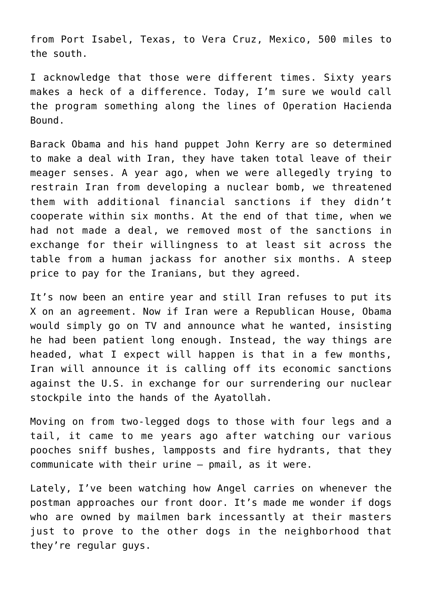from Port Isabel, Texas, to Vera Cruz, Mexico, 500 miles to the south.

I acknowledge that those were different times. Sixty years makes a heck of a difference. Today, I'm sure we would call the program something along the lines of Operation Hacienda Bound.

Barack Obama and his hand puppet John Kerry are so determined to make a deal with Iran, they have taken total leave of their meager senses. A year ago, when we were allegedly trying to restrain Iran from developing a nuclear bomb, we threatened them with additional financial sanctions if they didn't cooperate within six months. At the end of that time, when we had not made a deal, we removed most of the sanctions in exchange for their willingness to at least sit across the table from a human jackass for another six months. A steep price to pay for the Iranians, but they agreed.

It's now been an entire year and still Iran refuses to put its X on an agreement. Now if Iran were a Republican House, Obama would simply go on TV and announce what he wanted, insisting he had been patient long enough. Instead, the way things are headed, what I expect will happen is that in a few months, Iran will announce it is calling off its economic sanctions against the U.S. in exchange for our surrendering our nuclear stockpile into the hands of the Ayatollah.

Moving on from two-legged dogs to those with four legs and a tail, it came to me years ago after watching our various pooches sniff bushes, lampposts and fire hydrants, that they communicate with their urine – pmail, as it were.

Lately, I've been watching how Angel carries on whenever the postman approaches our front door. It's made me wonder if dogs who are owned by mailmen bark incessantly at their masters just to prove to the other dogs in the neighborhood that they're regular guys.